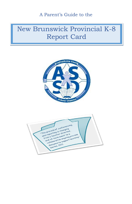A Parent's Guide to the

# New Brunswick Provincial K-8 Report Card



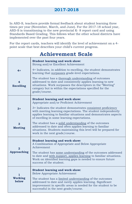In ASD-S, teachers provide formal feedback about student learning three times per year (November, March, and June). For the 2017-18 school year, ASD-S is transitioning to the new provincial K- 8 report card and using Standards Based Grading. This follows what the other school districts have implemented over the past four years.

For the report cards, teachers will identify the level of achievement on a 4 point scale that best describes your child's current progress.

## **Achievement Scale**

|                       | <b>Student learning and work show:</b><br>Strong and/or Excellent Achievement                                                                                                                                                                                   |
|-----------------------|-----------------------------------------------------------------------------------------------------------------------------------------------------------------------------------------------------------------------------------------------------------------|
| $4+$                  | 4+ Indicates, in addition to excelling, the student demonstrates<br>learning that surpasses grade-level expectations.                                                                                                                                           |
| 4<br><b>Excelling</b> | The student has a thorough understanding of outcomes<br>addressed to date and consistently applies learning to new<br>situations. Work surpasses the descriptors in the "Meeting"<br>category but is within the expectations specified for the<br>grade/course. |
|                       | <b>Student learning and work show:</b><br>Appropriate and/or Proficient Achievement                                                                                                                                                                             |
| $3+$                  | 3+ Indicates the student demonstrates consistent proficiency<br>with meeting learning expectations. The student independently<br>applies learning to familiar situations and demonstrates aspects<br>of excelling in some learning expectations.                |
| З<br><b>Meeting</b>   | The student has a solid understanding of the outcomes<br>addressed to date and often applies learning to familiar<br>situations. Students maintaining this level will be prepared for<br>work in the next grade/course.                                         |
| <b>Approaching</b>    | <b>Student learning and work show:</b><br>A Combination of Appropriate and Below Appropriate<br>Achievement<br>The student has some understanding of the outcomes addressed<br>to date and with support, applies learning to familiar situations.               |
|                       | Work on identified learning gaps is needed to ensure future<br>success of the student.                                                                                                                                                                          |
| 1                     | <b>Student learning and work show:</b><br><b>Below Appropriate Achievement</b>                                                                                                                                                                                  |
| Working<br>below      | The student has a limited understanding of the outcomes<br>addressed to date and rarely applies learning. Significant<br>improvement in specific areas is needed for the student to be<br>successful in the next grade/course.                                  |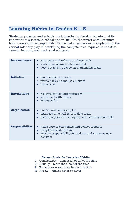### **Learning Habits in Grades K – 8**

Students, parents, and schools work together to develop learning habits important to success in school and in life. On the report card, learning habits are evaluated separately from learning achievement emphasizing the critical role they play in developing the competencies required in the 21st century learning and work environments.

| Independence          | sets goals and reflects on these goals<br>asks for assistance when needed<br>does not give up easily on challenging tasks<br>$\bullet$                |
|-----------------------|-------------------------------------------------------------------------------------------------------------------------------------------------------|
| <b>Initiative</b>     | has the desire to learn<br>works hard and makes an effort<br>takes risks                                                                              |
| <b>Interactions</b>   | resolves conflict appropriately<br>works well with others<br>is respectful                                                                            |
| Organization          | creates and follows a plan<br>manages time well to complete tasks<br>manages personal belongings and learning materials                               |
| <b>Responsibility</b> | takes care of belongings and school property<br>$\bullet$<br>completes work on time<br>accepts responsibility for actions and manages own<br>behavior |

#### **Report Scale for Learning Habits**

- **C**: Consistently almost all or all of the time
- **U**: Usually more than half of the time
- **S**: Sometimes less than half of the time
- **R**: Rarely almost never or never